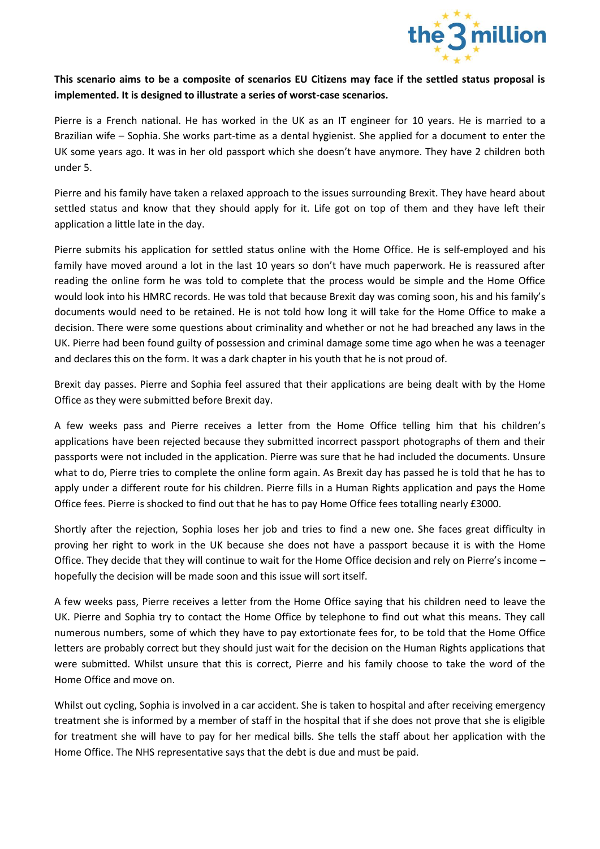

## **This scenario aims to be a composite of scenarios EU Citizens may face if the settled status proposal is implemented. It is designed to illustrate a series of worst-case scenarios.**

Pierre is a French national. He has worked in the UK as an IT engineer for 10 years. He is married to a Brazilian wife – Sophia. She works part-time as a dental hygienist. She applied for a document to enter the UK some years ago. It was in her old passport which she doesn't have anymore. They have 2 children both under 5.

Pierre and his family have taken a relaxed approach to the issues surrounding Brexit. They have heard about settled status and know that they should apply for it. Life got on top of them and they have left their application a little late in the day.

Pierre submits his application for settled status online with the Home Office. He is self-employed and his family have moved around a lot in the last 10 years so don't have much paperwork. He is reassured after reading the online form he was told to complete that the process would be simple and the Home Office would look into his HMRC records. He was told that because Brexit day was coming soon, his and his family's documents would need to be retained. He is not told how long it will take for the Home Office to make a decision. There were some questions about criminality and whether or not he had breached any laws in the UK. Pierre had been found guilty of possession and criminal damage some time ago when he was a teenager and declares this on the form. It was a dark chapter in his youth that he is not proud of.

Brexit day passes. Pierre and Sophia feel assured that their applications are being dealt with by the Home Office as they were submitted before Brexit day.

A few weeks pass and Pierre receives a letter from the Home Office telling him that his children's applications have been rejected because they submitted incorrect passport photographs of them and their passports were not included in the application. Pierre was sure that he had included the documents. Unsure what to do, Pierre tries to complete the online form again. As Brexit day has passed he is told that he has to apply under a different route for his children. Pierre fills in a Human Rights application and pays the Home Office fees. Pierre is shocked to find out that he has to pay Home Office fees totalling nearly £3000.

Shortly after the rejection, Sophia loses her job and tries to find a new one. She faces great difficulty in proving her right to work in the UK because she does not have a passport because it is with the Home Office. They decide that they will continue to wait for the Home Office decision and rely on Pierre's income – hopefully the decision will be made soon and this issue will sort itself.

A few weeks pass, Pierre receives a letter from the Home Office saying that his children need to leave the UK. Pierre and Sophia try to contact the Home Office by telephone to find out what this means. They call numerous numbers, some of which they have to pay extortionate fees for, to be told that the Home Office letters are probably correct but they should just wait for the decision on the Human Rights applications that were submitted. Whilst unsure that this is correct, Pierre and his family choose to take the word of the Home Office and move on.

Whilst out cycling, Sophia is involved in a car accident. She is taken to hospital and after receiving emergency treatment she is informed by a member of staff in the hospital that if she does not prove that she is eligible for treatment she will have to pay for her medical bills. She tells the staff about her application with the Home Office. The NHS representative says that the debt is due and must be paid.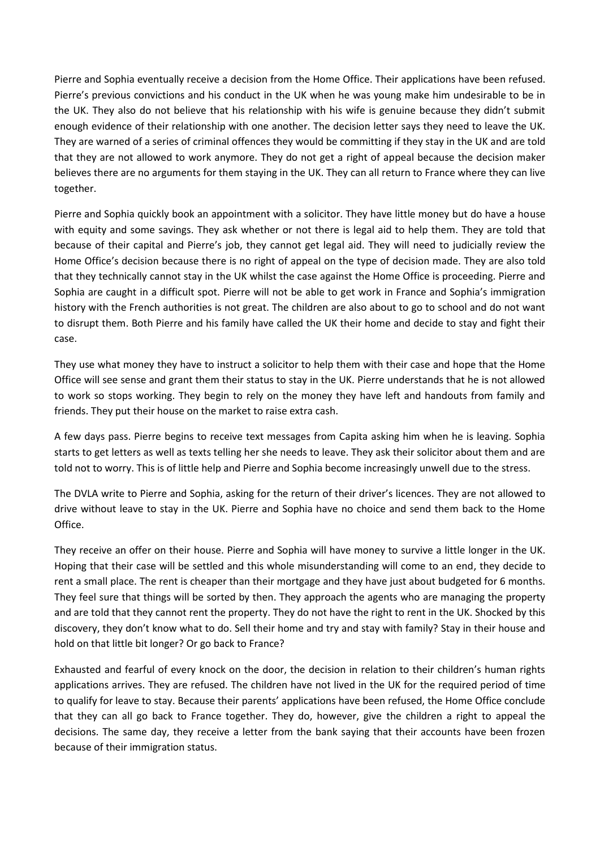Pierre and Sophia eventually receive a decision from the Home Office. Their applications have been refused. Pierre's previous convictions and his conduct in the UK when he was young make him undesirable to be in the UK. They also do not believe that his relationship with his wife is genuine because they didn't submit enough evidence of their relationship with one another. The decision letter says they need to leave the UK. They are warned of a series of criminal offences they would be committing if they stay in the UK and are told that they are not allowed to work anymore. They do not get a right of appeal because the decision maker believes there are no arguments for them staying in the UK. They can all return to France where they can live together.

Pierre and Sophia quickly book an appointment with a solicitor. They have little money but do have a house with equity and some savings. They ask whether or not there is legal aid to help them. They are told that because of their capital and Pierre's job, they cannot get legal aid. They will need to judicially review the Home Office's decision because there is no right of appeal on the type of decision made. They are also told that they technically cannot stay in the UK whilst the case against the Home Office is proceeding. Pierre and Sophia are caught in a difficult spot. Pierre will not be able to get work in France and Sophia's immigration history with the French authorities is not great. The children are also about to go to school and do not want to disrupt them. Both Pierre and his family have called the UK their home and decide to stay and fight their case.

They use what money they have to instruct a solicitor to help them with their case and hope that the Home Office will see sense and grant them their status to stay in the UK. Pierre understands that he is not allowed to work so stops working. They begin to rely on the money they have left and handouts from family and friends. They put their house on the market to raise extra cash.

A few days pass. Pierre begins to receive text messages from Capita asking him when he is leaving. Sophia starts to get letters as well as texts telling her she needs to leave. They ask their solicitor about them and are told not to worry. This is of little help and Pierre and Sophia become increasingly unwell due to the stress.

The DVLA write to Pierre and Sophia, asking for the return of their driver's licences. They are not allowed to drive without leave to stay in the UK. Pierre and Sophia have no choice and send them back to the Home Office.

They receive an offer on their house. Pierre and Sophia will have money to survive a little longer in the UK. Hoping that their case will be settled and this whole misunderstanding will come to an end, they decide to rent a small place. The rent is cheaper than their mortgage and they have just about budgeted for 6 months. They feel sure that things will be sorted by then. They approach the agents who are managing the property and are told that they cannot rent the property. They do not have the right to rent in the UK. Shocked by this discovery, they don't know what to do. Sell their home and try and stay with family? Stay in their house and hold on that little bit longer? Or go back to France?

Exhausted and fearful of every knock on the door, the decision in relation to their children's human rights applications arrives. They are refused. The children have not lived in the UK for the required period of time to qualify for leave to stay. Because their parents' applications have been refused, the Home Office conclude that they can all go back to France together. They do, however, give the children a right to appeal the decisions. The same day, they receive a letter from the bank saying that their accounts have been frozen because of their immigration status.